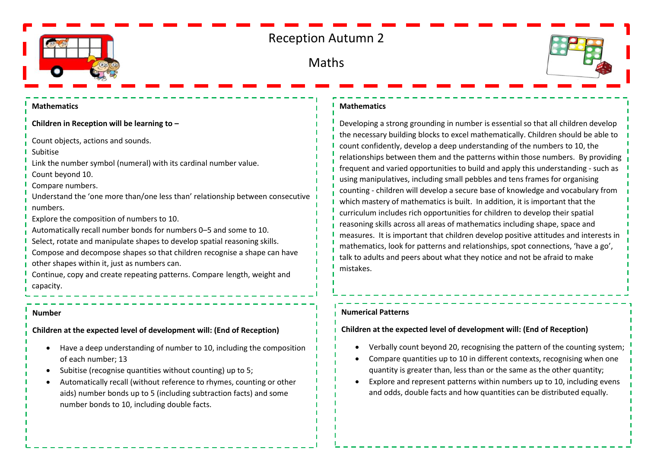

# Reception Autumn 2

## Maths



#### **Mathematics**

**Children in Reception will be learning to –**

Count objects, actions and sounds.

Subitise

Link the number symbol (numeral) with its cardinal number value.

Count beyond 10.

Compare numbers.

Understand the 'one more than/one less than' relationship between consecutive numbers.

Explore the composition of numbers to 10.

- Automatically recall number bonds for numbers 0–5 and some to 10.
- Select, rotate and manipulate shapes to develop spatial reasoning skills.
- Compose and decompose shapes so that children recognise a shape can have other shapes within it, just as numbers can.

Continue, copy and create repeating patterns. Compare length, weight and capacity.

#### **Number**

**Children at the expected level of development will: (End of Reception)**

- Have a deep understanding of number to 10, including the composition of each number; 13
- Subitise (recognise quantities without counting) up to 5;
- Automatically recall (without reference to rhymes, counting or other aids) number bonds up to 5 (including subtraction facts) and some number bonds to 10, including double facts.

#### **Mathematics**

Developing a strong grounding in number is essential so that all children develop the necessary building blocks to excel mathematically. Children should be able to count confidently, develop a deep understanding of the numbers to 10, the relationships between them and the patterns within those numbers. By providing frequent and varied opportunities to build and apply this understanding - such as using manipulatives, including small pebbles and tens frames for organising counting - children will develop a secure base of knowledge and vocabulary from which mastery of mathematics is built. In addition, it is important that the curriculum includes rich opportunities for children to develop their spatial reasoning skills across all areas of mathematics including shape, space and measures. It is important that children develop positive attitudes and interests in mathematics, look for patterns and relationships, spot connections, 'have a go', talk to adults and peers about what they notice and not be afraid to make mistakes.

#### **Numerical Patterns**

### **Children at the expected level of development will: (End of Reception)**

- Verbally count beyond 20, recognising the pattern of the counting system;
- Compare quantities up to 10 in different contexts, recognising when one quantity is greater than, less than or the same as the other quantity;
- Explore and represent patterns within numbers up to 10, including evens and odds, double facts and how quantities can be distributed equally.